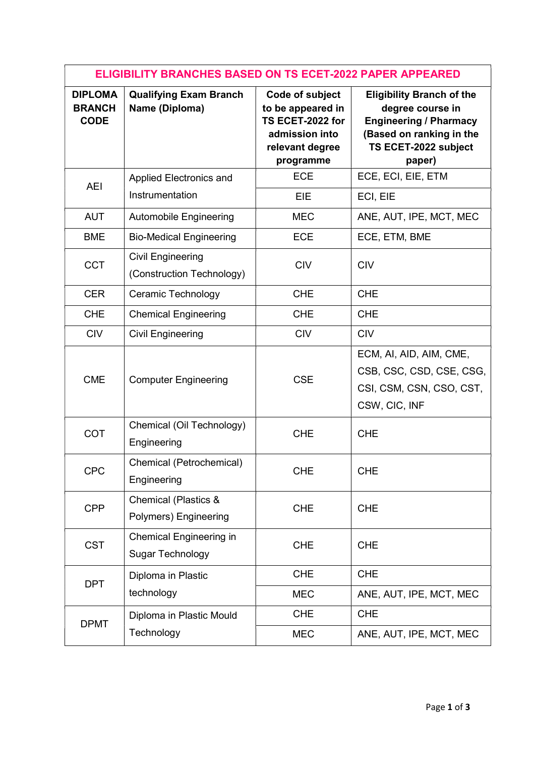| <b>ELIGIBILITY BRANCHES BASED ON TS ECET-2022 PAPER APPEARED</b> |                                                          |                                                                                                            |                                                                                                                                                     |  |  |
|------------------------------------------------------------------|----------------------------------------------------------|------------------------------------------------------------------------------------------------------------|-----------------------------------------------------------------------------------------------------------------------------------------------------|--|--|
| <b>DIPLOMA</b><br><b>BRANCH</b><br><b>CODE</b>                   | <b>Qualifying Exam Branch</b><br>Name (Diploma)          | Code of subject<br>to be appeared in<br>TS ECET-2022 for<br>admission into<br>relevant degree<br>programme | <b>Eligibility Branch of the</b><br>degree course in<br><b>Engineering / Pharmacy</b><br>(Based on ranking in the<br>TS ECET-2022 subject<br>paper) |  |  |
| <b>AEI</b>                                                       | Applied Electronics and                                  | <b>ECE</b>                                                                                                 | ECE, ECI, EIE, ETM                                                                                                                                  |  |  |
|                                                                  | Instrumentation                                          | EIE                                                                                                        | ECI, EIE                                                                                                                                            |  |  |
| <b>AUT</b>                                                       | <b>Automobile Engineering</b>                            | <b>MEC</b>                                                                                                 | ANE, AUT, IPE, MCT, MEC                                                                                                                             |  |  |
| <b>BME</b>                                                       | <b>Bio-Medical Engineering</b>                           | <b>ECE</b>                                                                                                 | ECE, ETM, BME                                                                                                                                       |  |  |
| <b>CCT</b>                                                       | <b>Civil Engineering</b><br>(Construction Technology)    | <b>CIV</b>                                                                                                 | <b>CIV</b>                                                                                                                                          |  |  |
| <b>CER</b>                                                       | Ceramic Technology                                       | <b>CHE</b>                                                                                                 | <b>CHE</b>                                                                                                                                          |  |  |
| <b>CHE</b>                                                       | <b>Chemical Engineering</b>                              | <b>CHE</b>                                                                                                 | <b>CHE</b>                                                                                                                                          |  |  |
| <b>CIV</b>                                                       | <b>Civil Engineering</b>                                 | <b>CIV</b>                                                                                                 | <b>CIV</b>                                                                                                                                          |  |  |
| <b>CME</b>                                                       | <b>Computer Engineering</b>                              | <b>CSE</b>                                                                                                 | ECM, AI, AID, AIM, CME,<br>CSB, CSC, CSD, CSE, CSG,<br>CSI, CSM, CSN, CSO, CST,<br>CSW, CIC, INF                                                    |  |  |
| COT                                                              | Chemical (Oil Technology)<br>Engineering                 | <b>CHE</b>                                                                                                 | <b>CHE</b>                                                                                                                                          |  |  |
| <b>CPC</b>                                                       | Chemical (Petrochemical)<br>Engineering                  | <b>CHE</b>                                                                                                 | <b>CHE</b>                                                                                                                                          |  |  |
| <b>CPP</b>                                                       | <b>Chemical (Plastics &amp;</b><br>Polymers) Engineering | <b>CHE</b>                                                                                                 | <b>CHE</b>                                                                                                                                          |  |  |
| <b>CST</b>                                                       | Chemical Engineering in<br><b>Sugar Technology</b>       | <b>CHE</b>                                                                                                 | <b>CHE</b>                                                                                                                                          |  |  |
| <b>DPT</b>                                                       | Diploma in Plastic                                       | <b>CHE</b>                                                                                                 | <b>CHE</b>                                                                                                                                          |  |  |
|                                                                  | technology                                               | <b>MEC</b>                                                                                                 | ANE, AUT, IPE, MCT, MEC                                                                                                                             |  |  |
| <b>DPMT</b>                                                      | Diploma in Plastic Mould                                 | <b>CHE</b>                                                                                                 | <b>CHE</b>                                                                                                                                          |  |  |
|                                                                  | Technology                                               | <b>MEC</b>                                                                                                 | ANE, AUT, IPE, MCT, MEC                                                                                                                             |  |  |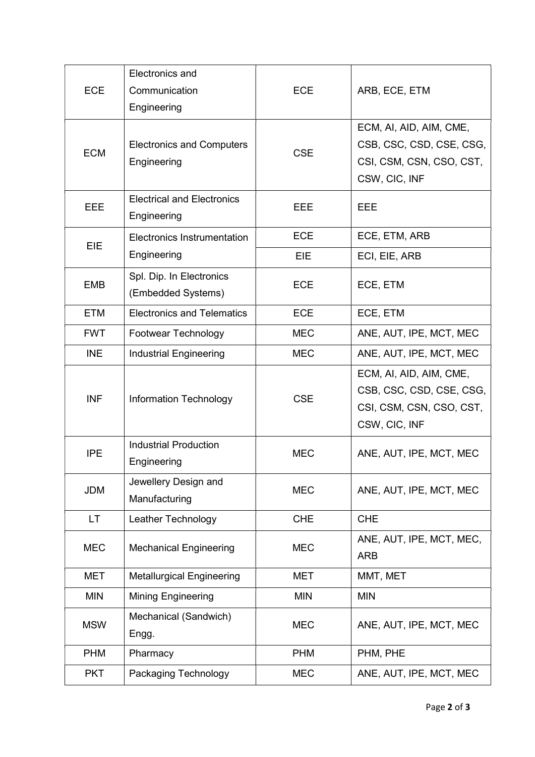|            | Electronics and                                 |            |                          |
|------------|-------------------------------------------------|------------|--------------------------|
| <b>ECE</b> | Communication                                   | <b>ECE</b> | ARB, ECE, ETM            |
|            | Engineering                                     |            |                          |
| <b>ECM</b> | <b>Electronics and Computers</b><br>Engineering | <b>CSE</b> | ECM, AI, AID, AIM, CME,  |
|            |                                                 |            | CSB, CSC, CSD, CSE, CSG, |
|            |                                                 |            | CSI, CSM, CSN, CSO, CST, |
|            |                                                 |            | CSW, CIC, INF            |
| EEE        | <b>Electrical and Electronics</b>               | EEE        | EEE                      |
|            | Engineering                                     |            |                          |
| EIE        | <b>Electronics Instrumentation</b>              | <b>ECE</b> | ECE, ETM, ARB            |
|            | Engineering                                     | EIE        | ECI, EIE, ARB            |
| <b>EMB</b> | Spl. Dip. In Electronics                        | <b>ECE</b> | ECE, ETM                 |
|            | (Embedded Systems)                              |            |                          |
| <b>ETM</b> | <b>Electronics and Telematics</b>               | <b>ECE</b> | ECE, ETM                 |
| <b>FWT</b> | Footwear Technology                             | <b>MEC</b> | ANE, AUT, IPE, MCT, MEC  |
| <b>INE</b> | <b>Industrial Engineering</b>                   | <b>MEC</b> | ANE, AUT, IPE, MCT, MEC  |
| <b>INF</b> | <b>Information Technology</b>                   | <b>CSE</b> | ECM, AI, AID, AIM, CME,  |
|            |                                                 |            | CSB, CSC, CSD, CSE, CSG, |
|            |                                                 |            | CSI, CSM, CSN, CSO, CST, |
|            |                                                 |            | CSW, CIC, INF            |
| <b>IPE</b> | <b>Industrial Production</b>                    | <b>MEC</b> | ANE, AUT, IPE, MCT, MEC  |
|            | Engineering                                     |            |                          |
| <b>JDM</b> | Jewellery Design and                            | <b>MEC</b> | ANE, AUT, IPE, MCT, MEC  |
|            | Manufacturing                                   |            |                          |
| LT.        | Leather Technology                              | <b>CHE</b> | <b>CHE</b>               |
| <b>MEC</b> | <b>Mechanical Engineering</b>                   | <b>MEC</b> | ANE, AUT, IPE, MCT, MEC, |
|            |                                                 |            | <b>ARB</b>               |
| <b>MET</b> | <b>Metallurgical Engineering</b>                | MET        | MMT, MET                 |
| <b>MIN</b> | Mining Engineering                              | <b>MIN</b> | <b>MIN</b>               |
| <b>MSW</b> | Mechanical (Sandwich)                           | <b>MEC</b> | ANE, AUT, IPE, MCT, MEC  |
|            | Engg.                                           |            |                          |
| <b>PHM</b> | Pharmacy                                        | <b>PHM</b> | PHM, PHE                 |
| <b>PKT</b> | Packaging Technology                            | <b>MEC</b> | ANE, AUT, IPE, MCT, MEC  |